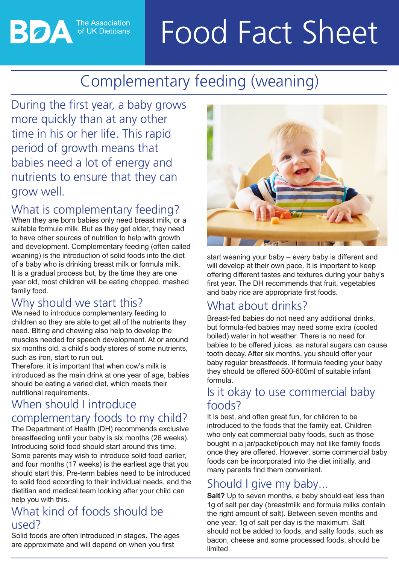# Food Fact Sheet

# Complementary feeding (weaning)

During the first year, a baby grows more quickly than at any other time in his or her life. This rapid period of growth means that babies need a lot of energy and nutrients to ensure that they can grow well.

**The Association** of UK Dietitians

#### What is complementary feeding?

When they are born babies only need breast milk, or a suitable formula milk. But as they get older, they need to have other sources of nutrition to help with growth and development. Complementary feeding (often called weaning) is the introduction of solid foods into the diet of a baby who is drinking breast milk or formula milk. It is a gradual process but, by the time they are one year old, most children will be eating chopped, mashed family food.

# Why should we start this?

We need to introduce complementary feeding to children so they are able to get all of the nutrients they need. Biting and chewing also help to develop the muscles needed for speech development. At or around six months old, a child's body stores of some nutrients, such as iron, start to run out.

Therefore, it is important that when cow's milk is introduced as the main drink at one year of age, babies should be eating a varied diet, which meets their nutritional requirements.

#### When should I introduce complementary foods to my child?

The Department of Health (DH) recommends exclusive breastfeeding until your baby is six months (26 weeks). Introducing solid food should start around this time. Some parents may wish to introduce solid food earlier, and four months (17 weeks) is the earliest age that you should start this. Pre-term babies need to be introduced to solid food according to their individual needs, and the dietitian and medical team looking after your child can help you with this.

## What kind of foods should be used?

Solid foods are often introduced in stages. The ages are approximate and will depend on when you first



start weaning your baby – every baby is different and will develop at their own pace. It is important to keep offering different tastes and textures during your baby's first year. The DH recommends that fruit, vegetables and baby rice are appropriate first foods.

# What about drinks?

Breast-fed babies do not need any additional drinks, but formula-fed babies may need some extra (cooled boiled) water in hot weather. There is no need for babies to be offered juices, as natural sugars can cause tooth decay. After six months, you should offer your baby regular breastfeeds. If formula feeding your baby they should be offered 500-600ml of suitable infant formula.

#### Is it okay to use commercial baby foods?

It is best, and often great fun, for children to be introduced to the foods that the family eat. Children who only eat commercial baby foods, such as those bought in a jar/packet/pouch may not like family foods once they are offered. However, some commercial baby foods can be incorporated into the diet initially, and many parents find them convenient.

# Should I give my baby...

**Salt?** Up to seven months, a baby should eat less than 1g of salt per day (breastmilk and formula milks contain the right amount of salt). Between seven months and one year, 1g of salt per day is the maximum. Salt should not be added to foods, and salty foods, such as bacon, cheese and some processed foods, should be limited.